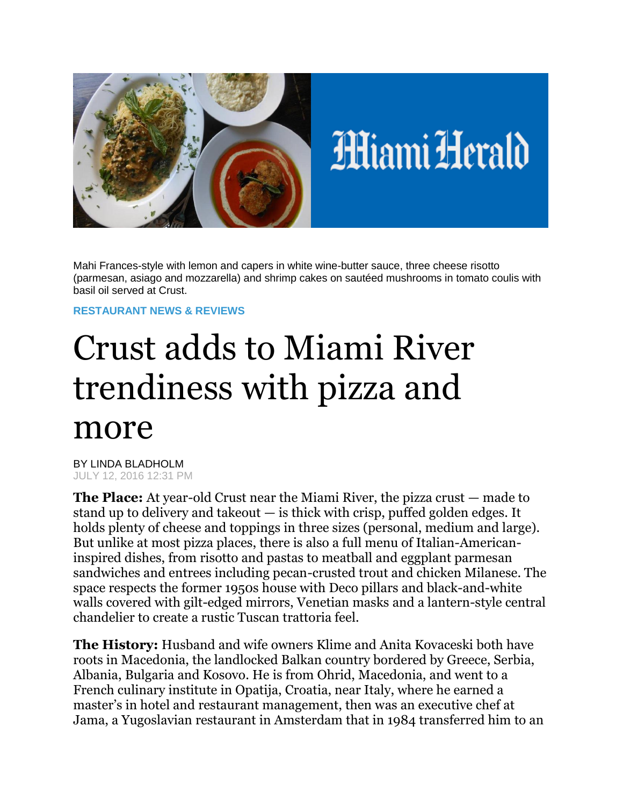

Mahi Frances-style with lemon and capers in white wine-butter sauce, three cheese risotto (parmesan, asiago and mozzarella) and shrimp cakes on sautéed mushrooms in tomato coulis with basil oil served at Crust.

## **[RESTAURANT NEWS & REVIEWS](http://www.miamiherald.com/entertainment/restaurants/)**

## Crust adds to Miami River trendiness with pizza and more

BY LINDA BLADHOLM JULY 12, 2016 12:31 PM

**The Place:** At year-old Crust near the Miami River, the pizza crust — made to stand up to delivery and takeout  $-$  is thick with crisp, puffed golden edges. It holds plenty of cheese and toppings in three sizes (personal, medium and large). But unlike at most pizza places, there is also a full menu of Italian-Americaninspired dishes, from risotto and pastas to meatball and eggplant parmesan sandwiches and entrees including pecan-crusted trout and chicken Milanese. The space respects the former 1950s house with Deco pillars and black-and-white walls covered with gilt-edged mirrors, Venetian masks and a lantern-style central chandelier to create a rustic Tuscan trattoria feel.

**The History:** Husband and wife owners Klime and Anita Kovaceski both have roots in Macedonia, the landlocked Balkan country bordered by Greece, Serbia, Albania, Bulgaria and Kosovo. He is from Ohrid, Macedonia, and went to a French culinary institute in Opatija, Croatia, near Italy, where he earned a master's in hotel and restaurant management, then was an executive chef at Jama, a Yugoslavian restaurant in Amsterdam that in 1984 transferred him to an